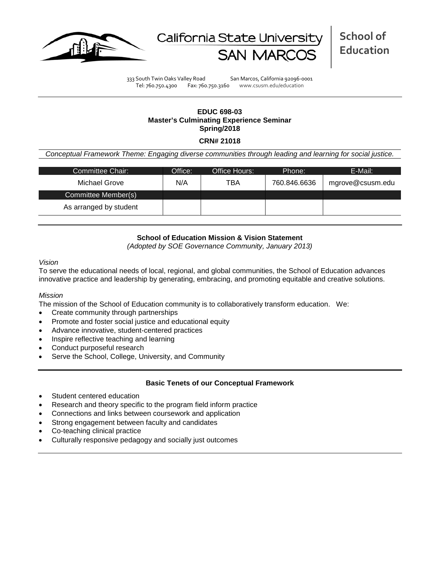



333 South Twin Oaks Valley Road San Marcos, California 92096-0001 Tel: 760.750.4300 Fax: 760.750.3160 www.csusm.edu/education

# **EDUC 698-03 Master's Culminating Experience Seminar Spring/2018**

### **CRN# 21018**

*Conceptual Framework Theme: Engaging diverse communities through leading and learning for social justice.*

| Committee Chair:       | Office: | Office Hours: | Phone:       | E-Mail:          |
|------------------------|---------|---------------|--------------|------------------|
| Michael Grove          | N/A     | TBA           | 760.846.6636 | mgrove@csusm.edu |
| Committee Member(s)    |         |               |              |                  |
| As arranged by student |         |               |              |                  |

## **School of Education Mission & Vision Statement**

*(Adopted by SOE Governance Community, January 2013)*

*Vision*

To serve the educational needs of local, regional, and global communities, the School of Education advances innovative practice and leadership by generating, embracing, and promoting equitable and creative solutions.

#### *Mission*

The mission of the School of Education community is to collaboratively transform education. We:

- Create community through partnerships
- Promote and foster social justice and educational equity
- Advance innovative, student-centered practices
- Inspire reflective teaching and learning
- Conduct purposeful research
- Serve the School, College, University, and Community

#### **Basic Tenets of our Conceptual Framework**

- Student centered education
- Research and theory specific to the program field inform practice
- Connections and links between coursework and application
- Strong engagement between faculty and candidates
- Co-teaching clinical practice
- Culturally responsive pedagogy and socially just outcomes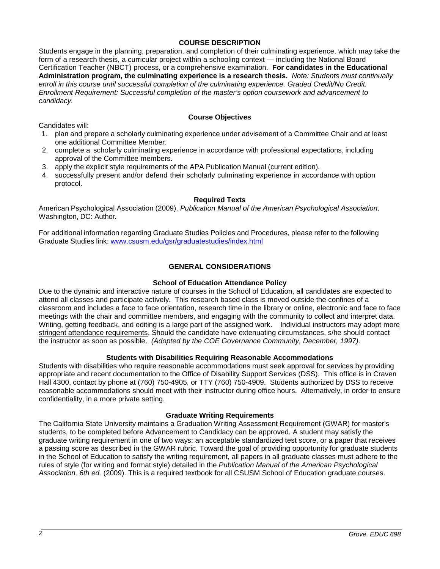## **COURSE DESCRIPTION**

Students engage in the planning, preparation, and completion of their culminating experience, which may take the form of a research thesis, a curricular project within a schooling context — including the National Board Certification Teacher (NBCT) process, or a comprehensive examination. **For candidates in the Educational Administration program, the culminating experience is a research thesis.** *Note: Students must continually enroll in this course until successful completion of the culminating experience. Graded Credit/No Credit. Enrollment Requirement: Successful completion of the master's option coursework and advancement to candidacy.*

## **Course Objectives**

Candidates will:

- 1. plan and prepare a scholarly culminating experience under advisement of a Committee Chair and at least one additional Committee Member.
- 2. complete a scholarly culminating experience in accordance with professional expectations, including approval of the Committee members.
- 3. apply the explicit style requirements of the APA Publication Manual (current edition).
- 4. successfully present and/or defend their scholarly culminating experience in accordance with option protocol.

#### **Required Texts**

American Psychological Association (2009). *Publication Manual of the American Psychological Association*. Washington, DC: Author.

For additional information regarding Graduate Studies Policies and Procedures, please refer to the following Graduate Studies link: [www.csusm.edu/gsr/graduatestudies/index.html](http://www.csusm.edu/gsr/graduatestudies/index.html)

## **GENERAL CONSIDERATIONS**

#### **School of Education Attendance Policy**

Due to the dynamic and interactive nature of courses in the School of Education, all candidates are expected to attend all classes and participate actively. This research based class is moved outside the confines of a classroom and includes a face to face orientation, research time in the library or online, electronic and face to face meetings with the chair and committee members, and engaging with the community to collect and interpret data. Writing, getting feedback, and editing is a large part of the assigned work. Individual instructors may adopt more stringent attendance requirements. Should the candidate have extenuating circumstances, s/he should contact the instructor as soon as possible. *(Adopted by the COE Governance Community, December, 1997).*

#### **Students with Disabilities Requiring Reasonable Accommodations**

Students with disabilities who require reasonable accommodations must seek approval for services by providing appropriate and recent documentation to the Office of Disability Support Services (DSS). This office is in Craven Hall 4300, contact by phone at (760) 750-4905, or TTY (760) 750-4909. Students authorized by DSS to receive reasonable accommodations should meet with their instructor during office hours. Alternatively, in order to ensure confidentiality, in a more private setting.

### **Graduate Writing Requirements**

The California State University maintains a Graduation Writing Assessment Requirement (GWAR) for master's students, to be completed before Advancement to Candidacy can be approved. A student may satisfy the graduate writing requirement in one of two ways: an acceptable standardized test score, or a paper that receives a passing score as described in the GWAR rubric. Toward the goal of providing opportunity for graduate students in the School of Education to satisfy the writing requirement, all papers in all graduate classes must adhere to the rules of style (for writing and format style) detailed in the *Publication Manual of the American Psychological Association, 6th ed.* (2009). This is a required textbook for all CSUSM School of Education graduate courses.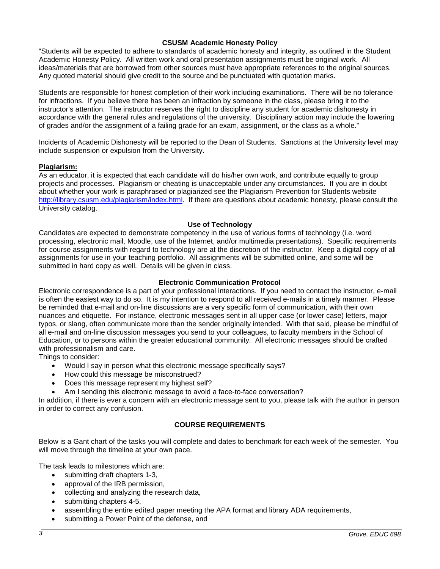## **CSUSM Academic Honesty Policy**

"Students will be expected to adhere to standards of academic honesty and integrity, as outlined in the Student Academic Honesty Policy. All written work and oral presentation assignments must be original work. All ideas/materials that are borrowed from other sources must have appropriate references to the original sources. Any quoted material should give credit to the source and be punctuated with quotation marks.

Students are responsible for honest completion of their work including examinations. There will be no tolerance for infractions. If you believe there has been an infraction by someone in the class, please bring it to the instructor's attention. The instructor reserves the right to discipline any student for academic dishonesty in accordance with the general rules and regulations of the university. Disciplinary action may include the lowering of grades and/or the assignment of a failing grade for an exam, assignment, or the class as a whole."

Incidents of Academic Dishonesty will be reported to the Dean of Students. Sanctions at the University level may include suspension or expulsion from the University.

## **Plagiarism:**

As an educator, it is expected that each candidate will do his/her own work, and contribute equally to group projects and processes. Plagiarism or cheating is unacceptable under any circumstances. If you are in doubt about whether your work is paraphrased or plagiarized see the Plagiarism Prevention for Students website [http://library.csusm.edu/plagiarism/index.html.](http://library.csusm.edu/plagiarism/index.html) If there are questions about academic honesty, please consult the University catalog.

#### **Use of Technology**

Candidates are expected to demonstrate competency in the use of various forms of technology (i.e. word processing, electronic mail, Moodle, use of the Internet, and/or multimedia presentations). Specific requirements for course assignments with regard to technology are at the discretion of the instructor. Keep a digital copy of all assignments for use in your teaching portfolio. All assignments will be submitted online, and some will be submitted in hard copy as well. Details will be given in class.

## **Electronic Communication Protocol**

Electronic correspondence is a part of your professional interactions. If you need to contact the instructor, e-mail is often the easiest way to do so. It is my intention to respond to all received e-mails in a timely manner. Please be reminded that e-mail and on-line discussions are a very specific form of communication, with their own nuances and etiquette. For instance, electronic messages sent in all upper case (or lower case) letters, major typos, or slang, often communicate more than the sender originally intended. With that said, please be mindful of all e-mail and on-line discussion messages you send to your colleagues, to faculty members in the School of Education, or to persons within the greater educational community. All electronic messages should be crafted with professionalism and care.

Things to consider:

- Would I say in person what this electronic message specifically says?
- How could this message be misconstrued?
- Does this message represent my highest self?
- Am I sending this electronic message to avoid a face-to-face conversation?

In addition, if there is ever a concern with an electronic message sent to you, please talk with the author in person in order to correct any confusion.

## **COURSE REQUIREMENTS**

Below is a Gant chart of the tasks you will complete and dates to benchmark for each week of the semester. You will move through the timeline at your own pace.

The task leads to milestones which are:

- submitting draft chapters 1-3,
- approval of the IRB permission,
- collecting and analyzing the research data,
- submitting chapters 4-5,
- assembling the entire edited paper meeting the APA format and library ADA requirements,
- submitting a Power Point of the defense, and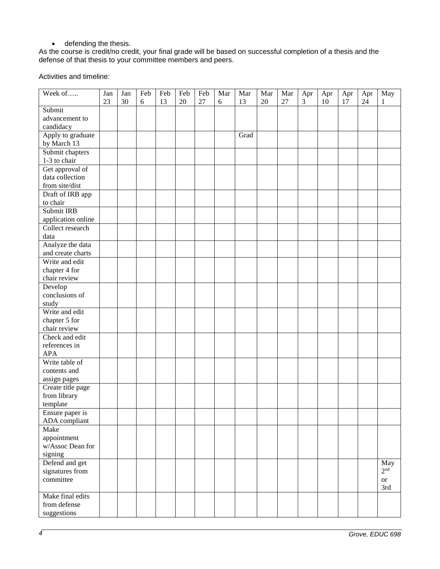• defending the thesis.

As the course is credit/no credit, your final grade will be based on successful completion of a thesis and the defense of that thesis to your committee members and peers.

Activities and timeline:

| Week of            | Jan | Jan | Feb | Feb | Feb | Feb | Mar | Mar  | Mar | Mar | Apr<br>$\overline{3}$ | Apr | Apr | Apr | May             |
|--------------------|-----|-----|-----|-----|-----|-----|-----|------|-----|-----|-----------------------|-----|-----|-----|-----------------|
| Submit             | 23  | 30  | 6   | 13  | 20  | 27  | 6   | 13   | 20  | 27  |                       | 10  | 17  | 24  | 1               |
| advancement to     |     |     |     |     |     |     |     |      |     |     |                       |     |     |     |                 |
| candidacy          |     |     |     |     |     |     |     |      |     |     |                       |     |     |     |                 |
| Apply to graduate  |     |     |     |     |     |     |     | Grad |     |     |                       |     |     |     |                 |
|                    |     |     |     |     |     |     |     |      |     |     |                       |     |     |     |                 |
| by March 13        |     |     |     |     |     |     |     |      |     |     |                       |     |     |     |                 |
| Submit chapters    |     |     |     |     |     |     |     |      |     |     |                       |     |     |     |                 |
| 1-3 to chair       |     |     |     |     |     |     |     |      |     |     |                       |     |     |     |                 |
| Get approval of    |     |     |     |     |     |     |     |      |     |     |                       |     |     |     |                 |
| data collection    |     |     |     |     |     |     |     |      |     |     |                       |     |     |     |                 |
| from site/dist     |     |     |     |     |     |     |     |      |     |     |                       |     |     |     |                 |
| Draft of IRB app   |     |     |     |     |     |     |     |      |     |     |                       |     |     |     |                 |
| to chair           |     |     |     |     |     |     |     |      |     |     |                       |     |     |     |                 |
| Submit IRB         |     |     |     |     |     |     |     |      |     |     |                       |     |     |     |                 |
| application online |     |     |     |     |     |     |     |      |     |     |                       |     |     |     |                 |
| Collect research   |     |     |     |     |     |     |     |      |     |     |                       |     |     |     |                 |
| data               |     |     |     |     |     |     |     |      |     |     |                       |     |     |     |                 |
| Analyze the data   |     |     |     |     |     |     |     |      |     |     |                       |     |     |     |                 |
| and create charts  |     |     |     |     |     |     |     |      |     |     |                       |     |     |     |                 |
| Write and edit     |     |     |     |     |     |     |     |      |     |     |                       |     |     |     |                 |
| chapter 4 for      |     |     |     |     |     |     |     |      |     |     |                       |     |     |     |                 |
| chair review       |     |     |     |     |     |     |     |      |     |     |                       |     |     |     |                 |
| Develop            |     |     |     |     |     |     |     |      |     |     |                       |     |     |     |                 |
| conclusions of     |     |     |     |     |     |     |     |      |     |     |                       |     |     |     |                 |
| study              |     |     |     |     |     |     |     |      |     |     |                       |     |     |     |                 |
| Write and edit     |     |     |     |     |     |     |     |      |     |     |                       |     |     |     |                 |
| chapter 5 for      |     |     |     |     |     |     |     |      |     |     |                       |     |     |     |                 |
| chair review       |     |     |     |     |     |     |     |      |     |     |                       |     |     |     |                 |
| Check and edit     |     |     |     |     |     |     |     |      |     |     |                       |     |     |     |                 |
| references in      |     |     |     |     |     |     |     |      |     |     |                       |     |     |     |                 |
| <b>APA</b>         |     |     |     |     |     |     |     |      |     |     |                       |     |     |     |                 |
| Write table of     |     |     |     |     |     |     |     |      |     |     |                       |     |     |     |                 |
| contents and       |     |     |     |     |     |     |     |      |     |     |                       |     |     |     |                 |
| assign pages       |     |     |     |     |     |     |     |      |     |     |                       |     |     |     |                 |
| Create title page  |     |     |     |     |     |     |     |      |     |     |                       |     |     |     |                 |
| from library       |     |     |     |     |     |     |     |      |     |     |                       |     |     |     |                 |
| template           |     |     |     |     |     |     |     |      |     |     |                       |     |     |     |                 |
| Ensure paper is    |     |     |     |     |     |     |     |      |     |     |                       |     |     |     |                 |
| ADA compliant      |     |     |     |     |     |     |     |      |     |     |                       |     |     |     |                 |
| Make               |     |     |     |     |     |     |     |      |     |     |                       |     |     |     |                 |
| appointment        |     |     |     |     |     |     |     |      |     |     |                       |     |     |     |                 |
| w/Assoc Dean for   |     |     |     |     |     |     |     |      |     |     |                       |     |     |     |                 |
| signing            |     |     |     |     |     |     |     |      |     |     |                       |     |     |     |                 |
| Defend and get     |     |     |     |     |     |     |     |      |     |     |                       |     |     |     | May             |
| signatures from    |     |     |     |     |     |     |     |      |     |     |                       |     |     |     | 2 <sup>nd</sup> |
| committee          |     |     |     |     |     |     |     |      |     |     |                       |     |     |     | <b>or</b>       |
|                    |     |     |     |     |     |     |     |      |     |     |                       |     |     |     | 3rd             |
| Make final edits   |     |     |     |     |     |     |     |      |     |     |                       |     |     |     |                 |
| from defense       |     |     |     |     |     |     |     |      |     |     |                       |     |     |     |                 |
| suggestions        |     |     |     |     |     |     |     |      |     |     |                       |     |     |     |                 |